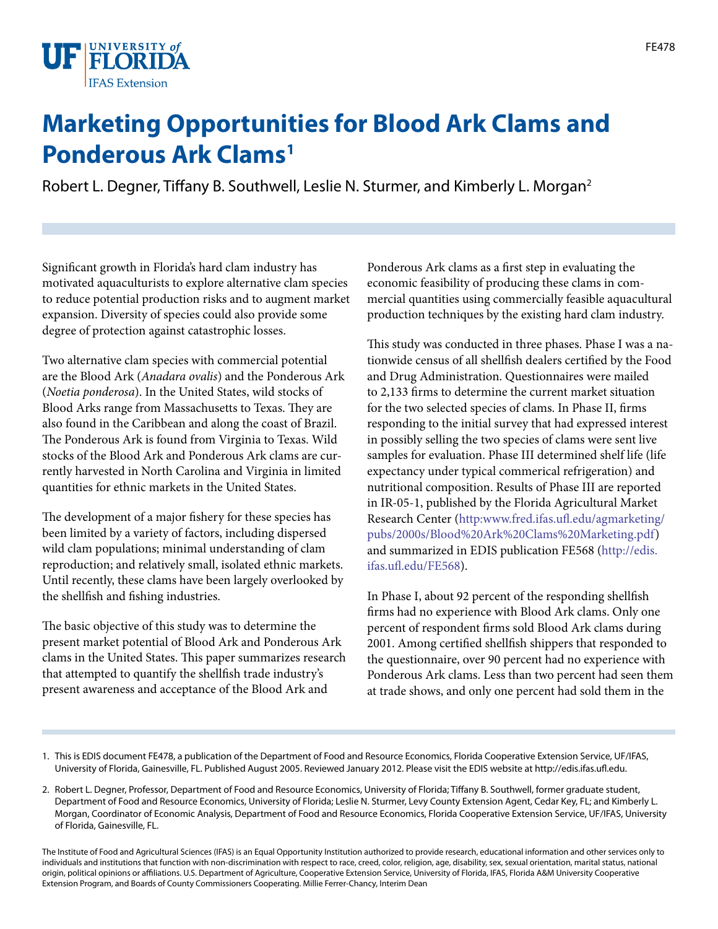

## **Marketing Opportunities for Blood Ark Clams and Ponderous Ark Clams1**

Robert L. Degner, Tiffany B. Southwell, Leslie N. Sturmer, and Kimberly L. Morgan<sup>2</sup>

Significant growth in Florida's hard clam industry has motivated aquaculturists to explore alternative clam species to reduce potential production risks and to augment market expansion. Diversity of species could also provide some degree of protection against catastrophic losses.

Two alternative clam species with commercial potential are the Blood Ark (*Anadara ovalis*) and the Ponderous Ark (*Noetia ponderosa*). In the United States, wild stocks of Blood Arks range from Massachusetts to Texas. They are also found in the Caribbean and along the coast of Brazil. The Ponderous Ark is found from Virginia to Texas. Wild stocks of the Blood Ark and Ponderous Ark clams are currently harvested in North Carolina and Virginia in limited quantities for ethnic markets in the United States.

The development of a major fishery for these species has been limited by a variety of factors, including dispersed wild clam populations; minimal understanding of clam reproduction; and relatively small, isolated ethnic markets. Until recently, these clams have been largely overlooked by the shellfish and fishing industries.

The basic objective of this study was to determine the present market potential of Blood Ark and Ponderous Ark clams in the United States. This paper summarizes research that attempted to quantify the shellfish trade industry's present awareness and acceptance of the Blood Ark and

Ponderous Ark clams as a first step in evaluating the economic feasibility of producing these clams in commercial quantities using commercially feasible aquacultural production techniques by the existing hard clam industry.

This study was conducted in three phases. Phase I was a nationwide census of all shellfish dealers certified by the Food and Drug Administration. Questionnaires were mailed to 2,133 firms to determine the current market situation for the two selected species of clams. In Phase II, firms responding to the initial survey that had expressed interest in possibly selling the two species of clams were sent live samples for evaluation. Phase III determined shelf life (life expectancy under typical commerical refrigeration) and nutritional composition. Results of Phase III are reported in IR-05-1, published by the Florida Agricultural Market Research Center ([http:www.fred.ifas.ufl.edu/agmarketing/](http:www.fred.ifas.ufl.edu/agmarketing/pubs/2000s/Blood%20Ark%20Clams%20Marketing.pdf) [pubs/2000s/Blood%20Ark%20Clams%20Marketing.pdf\)](http:www.fred.ifas.ufl.edu/agmarketing/pubs/2000s/Blood%20Ark%20Clams%20Marketing.pdf) and summarized in EDIS publication FE568 [\(http://edis.](http://edis.ifas.ufl.edu/FE568) [ifas.ufl.edu/FE568\)](http://edis.ifas.ufl.edu/FE568).

In Phase I, about 92 percent of the responding shellfish firms had no experience with Blood Ark clams. Only one percent of respondent firms sold Blood Ark clams during 2001. Among certified shellfish shippers that responded to the questionnaire, over 90 percent had no experience with Ponderous Ark clams. Less than two percent had seen them at trade shows, and only one percent had sold them in the

The Institute of Food and Agricultural Sciences (IFAS) is an Equal Opportunity Institution authorized to provide research, educational information and other services only to individuals and institutions that function with non-discrimination with respect to race, creed, color, religion, age, disability, sex, sexual orientation, marital status, national origin, political opinions or affiliations. U.S. Department of Agriculture, Cooperative Extension Service, University of Florida, IFAS, Florida A&M University Cooperative Extension Program, and Boards of County Commissioners Cooperating. Millie Ferrer-Chancy, Interim Dean

<sup>1.</sup> This is EDIS document FE478, a publication of the Department of Food and Resource Economics, Florida Cooperative Extension Service, UF/IFAS, University of Florida, Gainesville, FL. Published August 2005. Reviewed January 2012. Please visit the EDIS website at http://edis.ifas.ufl.edu.

<sup>2.</sup> Robert L. Degner, Professor, Department of Food and Resource Economics, University of Florida; Tiffany B. Southwell, former graduate student, Department of Food and Resource Economics, University of Florida; Leslie N. Sturmer, Levy County Extension Agent, Cedar Key, FL; and Kimberly L. Morgan, Coordinator of Economic Analysis, Department of Food and Resource Economics, Florida Cooperative Extension Service, UF/IFAS, University of Florida, Gainesville, FL.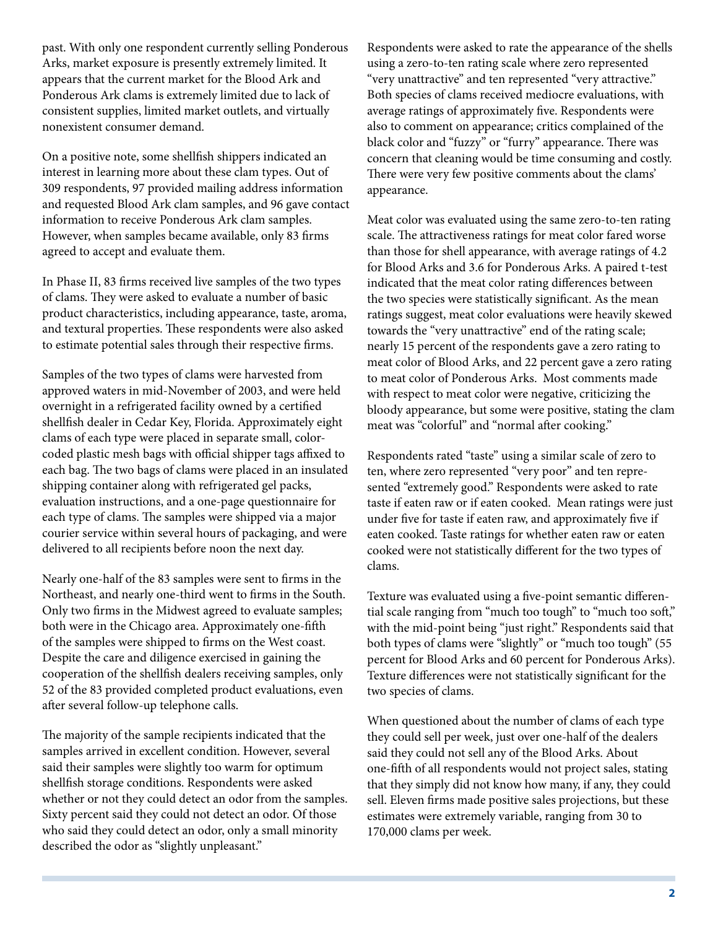past. With only one respondent currently selling Ponderous Arks, market exposure is presently extremely limited. It appears that the current market for the Blood Ark and Ponderous Ark clams is extremely limited due to lack of consistent supplies, limited market outlets, and virtually nonexistent consumer demand.

On a positive note, some shellfish shippers indicated an interest in learning more about these clam types. Out of 309 respondents, 97 provided mailing address information and requested Blood Ark clam samples, and 96 gave contact information to receive Ponderous Ark clam samples. However, when samples became available, only 83 firms agreed to accept and evaluate them.

In Phase II, 83 firms received live samples of the two types of clams. They were asked to evaluate a number of basic product characteristics, including appearance, taste, aroma, and textural properties. These respondents were also asked to estimate potential sales through their respective firms.

Samples of the two types of clams were harvested from approved waters in mid-November of 2003, and were held overnight in a refrigerated facility owned by a certified shellfish dealer in Cedar Key, Florida. Approximately eight clams of each type were placed in separate small, colorcoded plastic mesh bags with official shipper tags affixed to each bag. The two bags of clams were placed in an insulated shipping container along with refrigerated gel packs, evaluation instructions, and a one-page questionnaire for each type of clams. The samples were shipped via a major courier service within several hours of packaging, and were delivered to all recipients before noon the next day.

Nearly one-half of the 83 samples were sent to firms in the Northeast, and nearly one-third went to firms in the South. Only two firms in the Midwest agreed to evaluate samples; both were in the Chicago area. Approximately one-fifth of the samples were shipped to firms on the West coast. Despite the care and diligence exercised in gaining the cooperation of the shellfish dealers receiving samples, only 52 of the 83 provided completed product evaluations, even after several follow-up telephone calls.

The majority of the sample recipients indicated that the samples arrived in excellent condition. However, several said their samples were slightly too warm for optimum shellfish storage conditions. Respondents were asked whether or not they could detect an odor from the samples. Sixty percent said they could not detect an odor. Of those who said they could detect an odor, only a small minority described the odor as "slightly unpleasant."

Respondents were asked to rate the appearance of the shells using a zero-to-ten rating scale where zero represented "very unattractive" and ten represented "very attractive." Both species of clams received mediocre evaluations, with average ratings of approximately five. Respondents were also to comment on appearance; critics complained of the black color and "fuzzy" or "furry" appearance. There was concern that cleaning would be time consuming and costly. There were very few positive comments about the clams' appearance.

Meat color was evaluated using the same zero-to-ten rating scale. The attractiveness ratings for meat color fared worse than those for shell appearance, with average ratings of 4.2 for Blood Arks and 3.6 for Ponderous Arks. A paired t-test indicated that the meat color rating differences between the two species were statistically significant. As the mean ratings suggest, meat color evaluations were heavily skewed towards the "very unattractive" end of the rating scale; nearly 15 percent of the respondents gave a zero rating to meat color of Blood Arks, and 22 percent gave a zero rating to meat color of Ponderous Arks. Most comments made with respect to meat color were negative, criticizing the bloody appearance, but some were positive, stating the clam meat was "colorful" and "normal after cooking."

Respondents rated "taste" using a similar scale of zero to ten, where zero represented "very poor" and ten represented "extremely good." Respondents were asked to rate taste if eaten raw or if eaten cooked. Mean ratings were just under five for taste if eaten raw, and approximately five if eaten cooked. Taste ratings for whether eaten raw or eaten cooked were not statistically different for the two types of clams.

Texture was evaluated using a five-point semantic differential scale ranging from "much too tough" to "much too soft," with the mid-point being "just right." Respondents said that both types of clams were "slightly" or "much too tough" (55 percent for Blood Arks and 60 percent for Ponderous Arks). Texture differences were not statistically significant for the two species of clams.

When questioned about the number of clams of each type they could sell per week, just over one-half of the dealers said they could not sell any of the Blood Arks. About one-fifth of all respondents would not project sales, stating that they simply did not know how many, if any, they could sell. Eleven firms made positive sales projections, but these estimates were extremely variable, ranging from 30 to 170,000 clams per week.